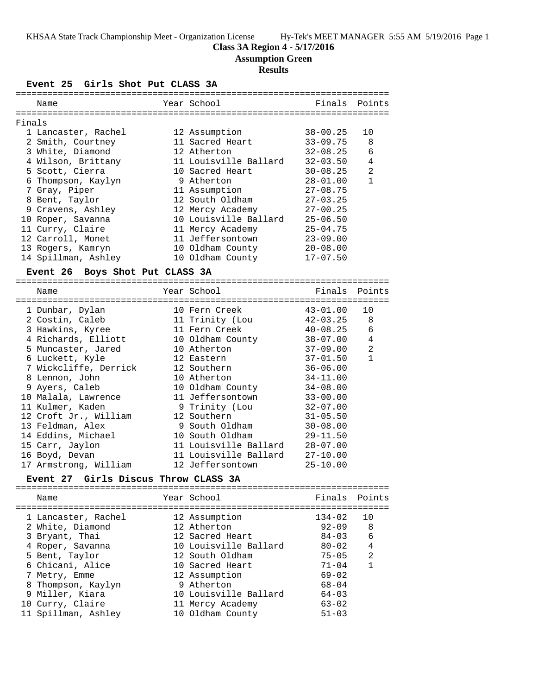### **Class 3A Region 4 - 5/17/2016**

**Assumption Green**

# **Results**

**Event 25 Girls Shot Put CLASS 3A**

|        | Name                                           |  | Year School           | Finals       | Points       |  |  |
|--------|------------------------------------------------|--|-----------------------|--------------|--------------|--|--|
|        |                                                |  |                       |              |              |  |  |
| Finals |                                                |  |                       |              |              |  |  |
|        | 1 Lancaster, Rachel                            |  | 12 Assumption         | $38 - 00.25$ | 10           |  |  |
|        | 2 Smith, Courtney                              |  | 11 Sacred Heart       | $33 - 09.75$ | 8            |  |  |
|        | 3 White, Diamond                               |  | 12 Atherton           | $32 - 08.25$ | 6            |  |  |
|        | 4 Wilson, Brittany                             |  | 11 Louisville Ballard | $32 - 03.50$ | 4            |  |  |
|        | 5 Scott, Cierra                                |  | 10 Sacred Heart       | $30 - 08.25$ | 2            |  |  |
|        | 6 Thompson, Kaylyn                             |  | 9 Atherton            | $28 - 01.00$ | $\mathbf{1}$ |  |  |
|        | 7 Gray, Piper                                  |  | 11 Assumption         | $27 - 08.75$ |              |  |  |
|        | 8 Bent, Taylor                                 |  | 12 South Oldham       | $27 - 03.25$ |              |  |  |
|        | 9 Cravens, Ashley                              |  | 12 Mercy Academy      | $27 - 00.25$ |              |  |  |
|        | 10 Roper, Savanna                              |  | 10 Louisville Ballard | $25 - 06.50$ |              |  |  |
|        | 11 Curry, Claire                               |  | 11 Mercy Academy      | $25 - 04.75$ |              |  |  |
|        | 12 Carroll, Monet                              |  | 11 Jeffersontown      | $23 - 09.00$ |              |  |  |
|        | 13 Rogers, Kamryn                              |  | 10 Oldham County      | $20 - 08.00$ |              |  |  |
|        | 14 Spillman, Ashley                            |  | 10 Oldham County      | $17 - 07.50$ |              |  |  |
|        |                                                |  |                       |              |              |  |  |
|        | Event 26 Boys Shot Put CLASS 3A                |  |                       |              |              |  |  |
|        | Name                                           |  | Year School           | Finals       | Points       |  |  |
|        |                                                |  |                       |              |              |  |  |
|        | 1 Dunbar, Dylan                                |  | 10 Fern Creek         | $43 - 01.00$ | 10           |  |  |
|        | 2 Costin, Caleb                                |  | 11 Trinity (Lou       | $42 - 03.25$ | 8            |  |  |
|        | 3 Hawkins, Kyree                               |  | 11 Fern Creek         | $40 - 08.25$ | $\sqrt{6}$   |  |  |
|        | 4 Richards, Elliott                            |  | 10 Oldham County      | $38 - 07.00$ | 4            |  |  |
|        | 5 Muncaster, Jared                             |  | 10 Atherton           | $37 - 09.00$ | 2            |  |  |
|        | 6 Luckett, Kyle                                |  | 12 Eastern            | $37 - 01.50$ | $\mathbf{1}$ |  |  |
|        | 7 Wickcliffe, Derrick                          |  | 12 Southern           | $36 - 06.00$ |              |  |  |
|        | 8 Lennon, John                                 |  | 10 Atherton           | $34 - 11.00$ |              |  |  |
|        | 9 Ayers, Caleb                                 |  | 10 Oldham County      | $34 - 08.00$ |              |  |  |
|        | 10 Malala, Lawrence                            |  | 11 Jeffersontown      | $33 - 00.00$ |              |  |  |
|        | 11 Kulmer, Kaden                               |  | 9 Trinity (Lou        | $32 - 07.00$ |              |  |  |
|        | 12 Croft Jr., William                          |  | 12 Southern           | $31 - 05.50$ |              |  |  |
|        |                                                |  |                       |              |              |  |  |
|        |                                                |  |                       |              |              |  |  |
|        | 13 Feldman, Alex                               |  | 9 South Oldham        | $30 - 08.00$ |              |  |  |
|        | 14 Eddins, Michael                             |  | 10 South Oldham       | $29 - 11.50$ |              |  |  |
|        | 15 Carr, Jaylon                                |  | 11 Louisville Ballard | $28 - 07.00$ |              |  |  |
|        | 16 Boyd, Devan                                 |  | 11 Louisville Ballard | $27 - 10.00$ |              |  |  |
|        | 17 Armstrong, William                          |  | 12 Jeffersontown      | $25 - 10.00$ |              |  |  |
|        | Girls Discus Throw CLASS 3A<br><b>Event 27</b> |  |                       |              |              |  |  |
|        |                                                |  |                       |              |              |  |  |
|        | Name                                           |  | Year School           | Finals       | Points       |  |  |

|  | 1 Lancaster, Rachel | 12 Assumption         | 134-02    | 10             |
|--|---------------------|-----------------------|-----------|----------------|
|  | 2 White, Diamond    | 12 Atherton           | $92 - 09$ | 8              |
|  | 3 Bryant, Thai      | 12 Sacred Heart       | $84 - 03$ | 6              |
|  | 4 Roper, Savanna    | 10 Louisville Ballard | $80 - 02$ | $\overline{4}$ |
|  | 5 Bent, Taylor      | 12 South Oldham       | $75 - 05$ | 2              |
|  | 6 Chicani, Alice    | 10 Sacred Heart       | $71 - 04$ |                |
|  | 7 Metry, Emme       | 12 Assumption         | $69 - 02$ |                |
|  | 8 Thompson, Kaylyn  | 9 Atherton            | $68 - 04$ |                |
|  | 9 Miller, Kiara     | 10 Louisville Ballard | $64 - 03$ |                |
|  | 10 Curry, Claire    | 11 Mercy Academy      | $63 - 02$ |                |
|  | 11 Spillman, Ashley | 10 Oldham County      | $51 - 03$ |                |
|  |                     |                       |           |                |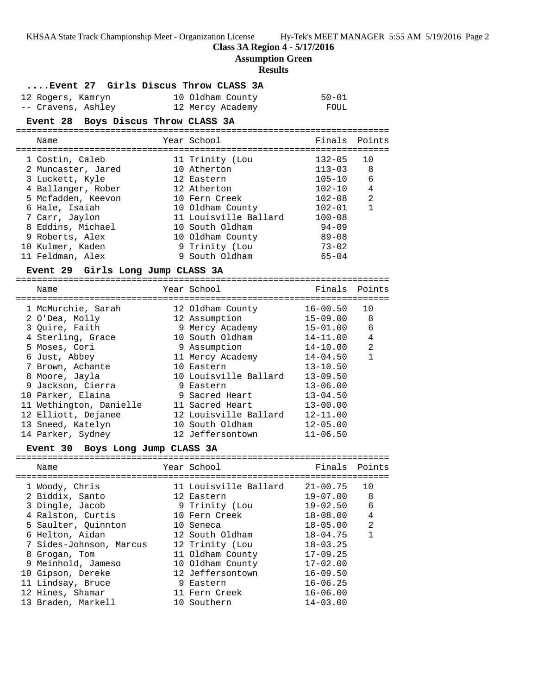KHSAA State Track Championship Meet - Organization License Hy-Tek's MEET MANAGER 5:55 AM 5/19/2016 Page 2

**Class 3A Region 4 - 5/17/2016**

**Assumption Green**

| <b>Results</b> |                                                                           |  |                                                     |                          |                |  |
|----------------|---------------------------------------------------------------------------|--|-----------------------------------------------------|--------------------------|----------------|--|
|                | Event 27 Girls Discus Throw CLASS 3A                                      |  |                                                     |                          |                |  |
|                | 12 Rogers, Kamryn 10 Oldham County<br>-- Cravens, Ashley 12 Mercy Academy |  |                                                     | $50 - 01$                |                |  |
|                |                                                                           |  |                                                     | FOUL                     |                |  |
|                | Event 28 Boys Discus Throw CLASS 3A                                       |  |                                                     |                          |                |  |
|                | Name                                                                      |  | Year School                                         | Finals                   | Points         |  |
|                | 1 Costin, Caleb                                                           |  | 11 Trinity (Lou                                     | $132 - 05$               | 10             |  |
|                | 2 Muncaster, Jared                                                        |  | 10 Atherton                                         | $113 - 03$               | 8              |  |
|                | 3 Luckett, Kyle                                                           |  | 12 Eastern                                          | $105 - 10$               | 6              |  |
|                | 4 Ballanger, Rober                                                        |  | 12 Atherton                                         | 102-10                   | $\overline{4}$ |  |
|                | 5 Mcfadden, Keevon                                                        |  | 10 Fern Creek                                       | 102-08                   | 2              |  |
|                | 6 Hale, Isaiah                                                            |  | 10 Oldham County                                    | 102-01                   | $\mathbf{1}$   |  |
|                | 7 Carr, Jaylon                                                            |  | 11 Louisville Ballard 100-08                        |                          |                |  |
|                | 8 Eddins, Michael                                                         |  | 10 South Oldham                                     | $94 - 09$                |                |  |
|                | 9 Roberts, Alex                                                           |  | 10 Oldham County 89-08                              |                          |                |  |
|                | 10 Kulmer, Kaden                                                          |  | 9 Trinity (Lou                                      | $73 - 02$                |                |  |
|                | 11 Feldman, Alex                                                          |  | 9 South Oldham                                      | $65 - 04$                |                |  |
|                | Event 29 Girls Long Jump CLASS 3A                                         |  |                                                     |                          |                |  |
|                | Name                                                                      |  | Year School                                         | Finals                   | Points         |  |
|                |                                                                           |  |                                                     |                          |                |  |
|                | 1 McMurchie, Sarah                                                        |  | 12 Oldham County 16-00.50                           |                          | 10             |  |
|                | 2 O'Dea, Molly                                                            |  | 12 Assumption<br>9 Mercy Academy<br>10 South Oldham | $15 - 09.00$             | 8<br>6         |  |
|                | 3 Quire, Faith                                                            |  |                                                     | $15 - 01.00$             |                |  |
|                | 4 Sterling, Grace                                                         |  |                                                     | 14-11.00                 | 4<br>2         |  |
|                | 5 Moses, Cori<br>6 Just, Abbey                                            |  | 9 Assumption                                        | 14-10.00<br>$14 - 04.50$ | $\mathbf{1}$   |  |
|                | 7 Brown, Achante                                                          |  | 11 Mercy Academy<br>10 Eastern                      | $13 - 10.50$             |                |  |
|                | 8 Moore, Jayla                                                            |  | 10 Louisville Ballard                               | $13 - 09.50$             |                |  |
|                | 9 Jackson, Cierra                                                         |  | 9 Eastern                                           | $13 - 06.00$             |                |  |
|                | 10 Parker, Elaina                                                         |  | 9 Sacred Heart                                      | $13 - 04.50$             |                |  |
|                | 11 Wethington, Danielle                                                   |  | 11 Sacred Heart                                     | $13 - 00.00$             |                |  |
|                | 12 Elliott, Dejanee                                                       |  | 12 Louisville Ballard                               | 12-11.00                 |                |  |
|                | 13 Sneed, Katelyn                                                         |  | 10 South Oldham                                     | $12 - 05.00$             |                |  |
|                | 14 Parker, Sydney                                                         |  | 12 Jeffersontown                                    | $11 - 06.50$             |                |  |
|                | Event 30 Boys Long Jump CLASS 3A                                          |  |                                                     |                          |                |  |
|                |                                                                           |  |                                                     |                          |                |  |
|                | Name<br>================================                                  |  | Year School                                         | Finals                   | Points         |  |
|                | 1 Woody, Chris                                                            |  | 11 Louisville Ballard                               | $21 - 00.75$             | 10             |  |
|                | 2 Biddix, Santo                                                           |  | 12 Eastern                                          | $19 - 07.00$             | 8              |  |
|                | 3 Dingle, Jacob                                                           |  | 9 Trinity (Lou                                      | $19 - 02.50$             | 6              |  |
|                | 4 Ralston, Curtis                                                         |  | 10 Fern Creek                                       | $18 - 08.00$             | 4              |  |
|                | 5 Saulter, Quinnton                                                       |  | 10 Seneca                                           | $18 - 05.00$             | 2              |  |
|                | 6 Helton, Aidan                                                           |  | 12 South Oldham                                     | $18 - 04.75$             | $\mathbf{1}$   |  |
|                | 7 Sides-Johnson, Marcus                                                   |  | 12 Trinity (Lou                                     | $18 - 03.25$             |                |  |
|                | 8 Grogan, Tom                                                             |  | 11 Oldham County                                    | $17 - 09.25$             |                |  |
|                | 9 Meinhold, Jameso                                                        |  | 10 Oldham County                                    | $17 - 02.00$             |                |  |
|                | 10 Gipson, Dereke                                                         |  | 12 Jeffersontown                                    | $16 - 09.50$             |                |  |
|                | 11 Lindsay, Bruce                                                         |  | 9 Eastern                                           | $16 - 06.25$             |                |  |
|                | 12 Hines, Shamar                                                          |  | 11 Fern Creek                                       | $16 - 06.00$             |                |  |
|                | 13 Braden, Markell                                                        |  | 10 Southern                                         | $14 - 03.00$             |                |  |
|                |                                                                           |  |                                                     |                          |                |  |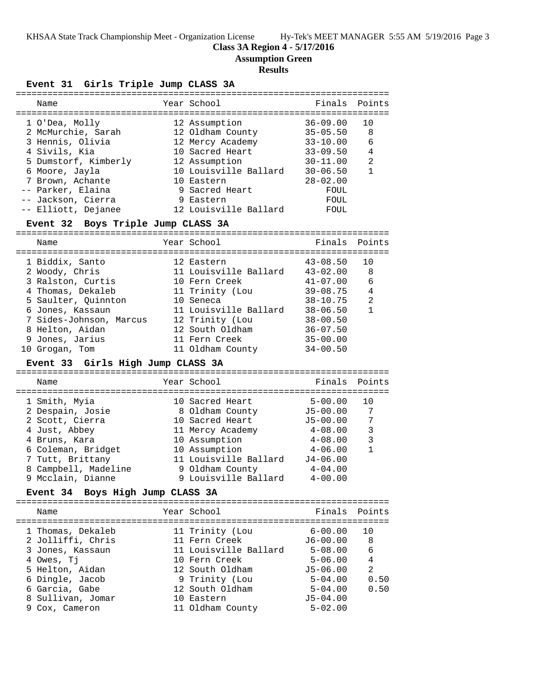KHSAA State Track Championship Meet - Organization License Hy-Tek's MEET MANAGER 5:55 AM 5/19/2016 Page 3

### **Class 3A Region 4 - 5/17/2016**

**Assumption Green**

### **Results**

#### **Event 31 Girls Triple Jump CLASS 3A** =======================================================================

| Name                                         |  | Year School                    | Finals                      | Points         |  |  |  |  |
|----------------------------------------------|--|--------------------------------|-----------------------------|----------------|--|--|--|--|
| 1 O'Dea, Molly                               |  | 12 Assumption                  | $36 - 09.00$                | 10             |  |  |  |  |
| 2 McMurchie, Sarah                           |  | 12 Oldham County               | $35 - 05.50$                | 8              |  |  |  |  |
| 3 Hennis, Olivia                             |  | 12 Mercy Academy               | $33 - 10.00$                | 6              |  |  |  |  |
| 4 Sivils, Kia                                |  | 10 Sacred Heart                | $33 - 09.50$                | 4              |  |  |  |  |
| 5 Dumstorf, Kimberly                         |  | 12 Assumption                  | $30 - 11.00$                | $\overline{a}$ |  |  |  |  |
| 6 Moore, Jayla                               |  | 10 Louisville Ballard          | $30 - 06.50$                | $\mathbf{1}$   |  |  |  |  |
| 7 Brown, Achante                             |  | 10 Eastern                     | $28 - 02.00$                |                |  |  |  |  |
| -- Parker, Elaina                            |  | 9 Sacred Heart                 | FOUL                        |                |  |  |  |  |
| -- Jackson, Cierra                           |  | 9 Eastern                      | FOUL                        |                |  |  |  |  |
| -- Elliott, Dejanee                          |  | 12 Louisville Ballard          | FOUL                        |                |  |  |  |  |
| Boys Triple Jump CLASS 3A<br><b>Event 32</b> |  |                                |                             |                |  |  |  |  |
| Name                                         |  | Year School                    | Finals                      | Points         |  |  |  |  |
| 1 Biddix, Santo                              |  | 12 Eastern                     | $43 - 08.50$                | 10             |  |  |  |  |
| 2 Woody, Chris                               |  | 11 Louisville Ballard          | $43 - 02.00$                | 8              |  |  |  |  |
| 3 Ralston, Curtis                            |  | 10 Fern Creek                  | $41 - 07.00$                | 6              |  |  |  |  |
| 4 Thomas, Dekaleb                            |  | 11 Trinity (Lou                | $39 - 08.75$                | 4              |  |  |  |  |
| 5 Saulter, Quinnton                          |  | 10 Seneca                      | $38 - 10.75$                | 2              |  |  |  |  |
| 6 Jones, Kassaun                             |  | 11 Louisville Ballard          | $38 - 06.50$                | $\mathbf{1}$   |  |  |  |  |
| 7 Sides-Johnson, Marcus                      |  | 12 Trinity (Lou                | $38 - 00.50$                |                |  |  |  |  |
| 8 Helton, Aidan                              |  | 12 South Oldham                | $36 - 07.50$                |                |  |  |  |  |
| 9 Jones, Jarius                              |  | 11 Fern Creek                  | $35 - 00.00$                |                |  |  |  |  |
| 10 Grogan, Tom                               |  | 11 Oldham County               | $34 - 00.50$                |                |  |  |  |  |
| Event 33 Girls High Jump CLASS 3A            |  |                                |                             |                |  |  |  |  |
| Name                                         |  | Year School                    | Finals                      | Points         |  |  |  |  |
| 1 Smith, Myia                                |  | 10 Sacred Heart                | $5 - 00.00$                 | 10             |  |  |  |  |
| 2 Despain, Josie                             |  | 8 Oldham County                | $J5 - 00.00$                | 7              |  |  |  |  |
| 2 Scott, Cierra                              |  | 10 Sacred Heart                | $J5 - 00.00$                | 7              |  |  |  |  |
| 4 Just, Abbey                                |  | 11 Mercy Academy               | 4-08.00                     | $\mathbf{3}$   |  |  |  |  |
| 4 Bruns, Kara                                |  | 10 Assumption                  | 4-08.00                     | 3              |  |  |  |  |
| 6 Coleman, Bridget                           |  | 10 Assumption                  | $4 - 06.00$                 | $\mathbf{1}$   |  |  |  |  |
| 7 Tutt, Brittany                             |  | 11 Louisville Ballard          | $J4 - 06.00$                |                |  |  |  |  |
| 8 Campbell, Madeline                         |  | 9 Oldham County                | $4 - 04.00$                 |                |  |  |  |  |
| 9 Mcclain, Dianne                            |  | 9 Louisville Ballard           | $4 - 00.00$                 |                |  |  |  |  |
| <b>Event 34</b><br>Boys High Jump CLASS 3A   |  |                                |                             |                |  |  |  |  |
|                                              |  |                                |                             |                |  |  |  |  |
| Name                                         |  | Year School                    | Finals                      | Points         |  |  |  |  |
|                                              |  |                                |                             |                |  |  |  |  |
| 1 Thomas, Dekaleb                            |  | 11 Trinity (Lou                | $6 - 00.00$                 | 10             |  |  |  |  |
| 2 Jolliffi, Chris                            |  | 11 Fern Creek                  | $J6 - 00.00$                | 8              |  |  |  |  |
| 3 Jones, Kassaun                             |  | 11 Louisville Ballard          | $5 - 08.00$                 | 6              |  |  |  |  |
| 4 Owes, Tj                                   |  | 10 Fern Creek                  | $5 - 06.00$                 | 4              |  |  |  |  |
| 5 Helton, Aidan                              |  | 12 South Oldham                | $J5 - 06.00$                | 2              |  |  |  |  |
| 6 Dingle, Jacob                              |  | 9 Trinity (Lou                 | $5 - 04.00$                 | 0.50           |  |  |  |  |
| 6 Garcia, Gabe                               |  | 12 South Oldham                | $5 - 04.00$                 | 0.50           |  |  |  |  |
| 8 Sullivan, Jomar<br>9 Cox, Cameron          |  | 10 Eastern<br>11 Oldham County | $J5 - 04.00$<br>$5 - 02.00$ |                |  |  |  |  |